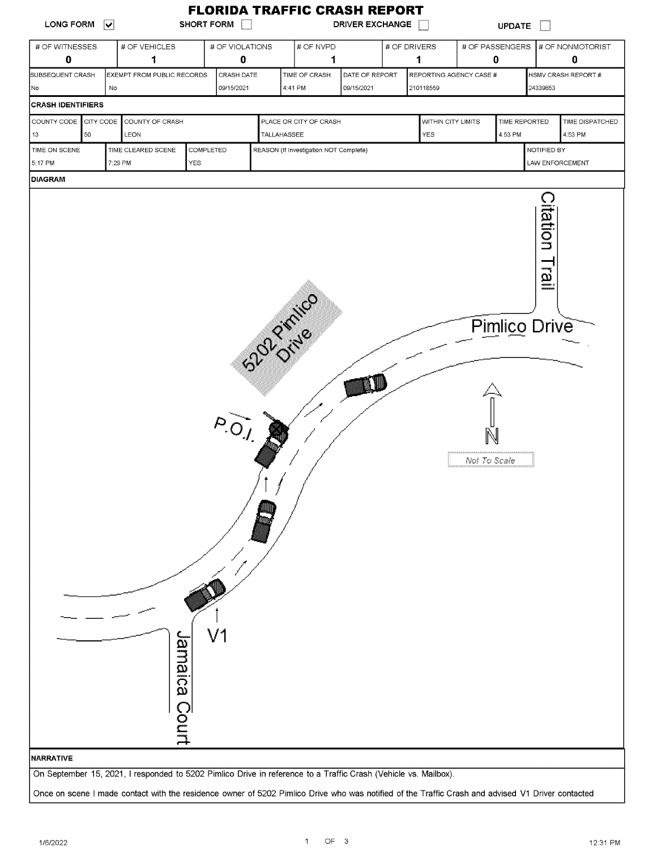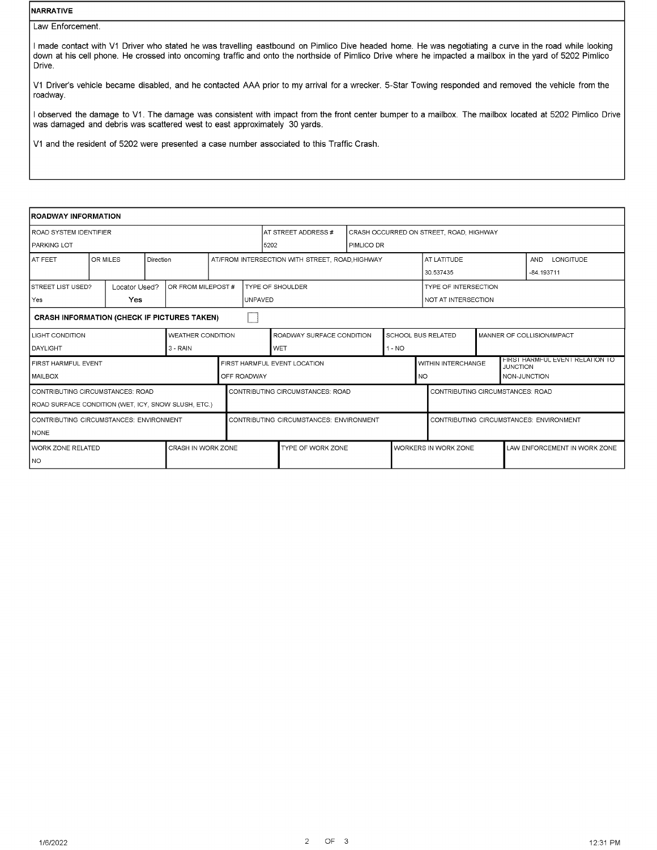## NARRATIVE

Law Enforcement.

I made contact with V1 Driver who stated he was travelling eastbound on Pimlico Dive headed home. He was negotiating a curve in the road while looking down at his cell phone. He crossed into oncoming traffic and onto the northside of Pimlico Drive where he impacted a mailbox in the yard of 5202 Pimlico Drive.

V1 Driver's vehicle became disabled, and he contacted AAA prior to my arrival for a wrecker. 5-Star Towing responded and removed the vehicle from the roadway.

I observed the damage to V1. The damage was consistent with impact from the front center bumper to a mailbox. The mailbox located at 5202 Pimlico Drive was damaged and debris was scattered west to east approximately 30 yards.

V1 and the resident of 5202 were presented a case number associated to this Traffic Crash.

| <b>ROADWAY INFORMATION</b>                          |                       |  |                          |                     |                         |                                                |                           |                                         |                                  |                                         |  |                 |                                 |  |  |
|-----------------------------------------------------|-----------------------|--|--------------------------|---------------------|-------------------------|------------------------------------------------|---------------------------|-----------------------------------------|----------------------------------|-----------------------------------------|--|-----------------|---------------------------------|--|--|
| ROAD SYSTEM IDENTIFIER                              |                       |  |                          | AT STREET ADDRESS # |                         |                                                |                           | CRASH OCCURRED ON STREET, ROAD, HIGHWAY |                                  |                                         |  |                 |                                 |  |  |
| PARKING LOT                                         |                       |  | 5202                     |                     | PIMLICO DR              |                                                |                           |                                         |                                  |                                         |  |                 |                                 |  |  |
| <b>AT FEET</b>                                      | OR MILES<br>Direction |  |                          |                     |                         | AT/FROM INTERSECTION WITH STREET, ROAD HIGHWAY |                           |                                         |                                  | AT LATITUDE                             |  |                 | <b>LONGITUDE</b><br><b>AND</b>  |  |  |
|                                                     |                       |  |                          |                     |                         |                                                |                           |                                         |                                  | 30.537435                               |  |                 | $-84.193711$                    |  |  |
| STREET LIST USED?<br>Locator Used?                  |                       |  | OR FROM MILEPOST #       |                     | <b>TYPE OF SHOULDER</b> |                                                |                           |                                         |                                  | <b>TYPE OF INTERSECTION</b>             |  |                 |                                 |  |  |
| Yes                                                 | <b>Yes</b>            |  | <b>UNPAVED</b>           |                     |                         |                                                |                           | NOT AT INTERSECTION                     |                                  |                                         |  |                 |                                 |  |  |
| <b>CRASH INFORMATION (CHECK IF PICTURES TAKEN)</b>  |                       |  |                          |                     |                         |                                                |                           |                                         |                                  |                                         |  |                 |                                 |  |  |
| <b>LIGHT CONDITION</b>                              |                       |  | <b>WEATHER CONDITION</b> |                     |                         | ROADWAY SURFACE CONDITION                      | <b>SCHOOL BUS RELATED</b> |                                         |                                  | MANNER OF COLLISION/IMPACT              |  |                 |                                 |  |  |
| <b>DAYLIGHT</b>                                     |                       |  | $3 - RAIN$               |                     |                         | <b>WET</b>                                     |                           | $1 - NO$                                |                                  |                                         |  |                 |                                 |  |  |
| FIRST HARMFUL EVENT                                 |                       |  |                          |                     |                         | FIRST HARMFUL EVENT LOCATION                   |                           |                                         |                                  | WITHIN INTERCHANGE                      |  | <b>JUNCTION</b> | FIRST HARMFUL EVENT RELATION TO |  |  |
| <b>MAILBOX</b>                                      |                       |  |                          |                     | OFF ROADWAY             |                                                |                           |                                         | <b>NO</b>                        |                                         |  |                 | NON-JUNCTION                    |  |  |
| CONTRIBUTING CIRCUMSTANCES: ROAD                    |                       |  |                          |                     |                         | CONTRIBUTING CIRCUMSTANCES: ROAD               |                           |                                         | CONTRIBUTING CIRCUMSTANCES: ROAD |                                         |  |                 |                                 |  |  |
| ROAD SURFACE CONDITION (WET, ICY, SNOW SLUSH, ETC.) |                       |  |                          |                     |                         |                                                |                           |                                         |                                  |                                         |  |                 |                                 |  |  |
| CONTRIBUTING CIRCUMSTANCES: ENVIRONMENT             |                       |  |                          |                     |                         | CONTRIBUTING CIRCUMSTANCES: ENVIRONMENT        |                           |                                         |                                  | CONTRIBUTING CIRCUMSTANCES: ENVIRONMENT |  |                 |                                 |  |  |
| <b>NONE</b>                                         |                       |  |                          |                     |                         |                                                |                           |                                         |                                  |                                         |  |                 |                                 |  |  |
| WORK ZONE RELATED                                   |                       |  | CRASH IN WORK ZONE       |                     |                         | TYPE OF WORK ZONE                              |                           |                                         |                                  | <b>WORKERS IN WORK ZONE</b>             |  |                 | LAW ENFORCEMENT IN WORK ZONE    |  |  |
| I NO                                                |                       |  |                          |                     |                         |                                                |                           |                                         |                                  |                                         |  |                 |                                 |  |  |